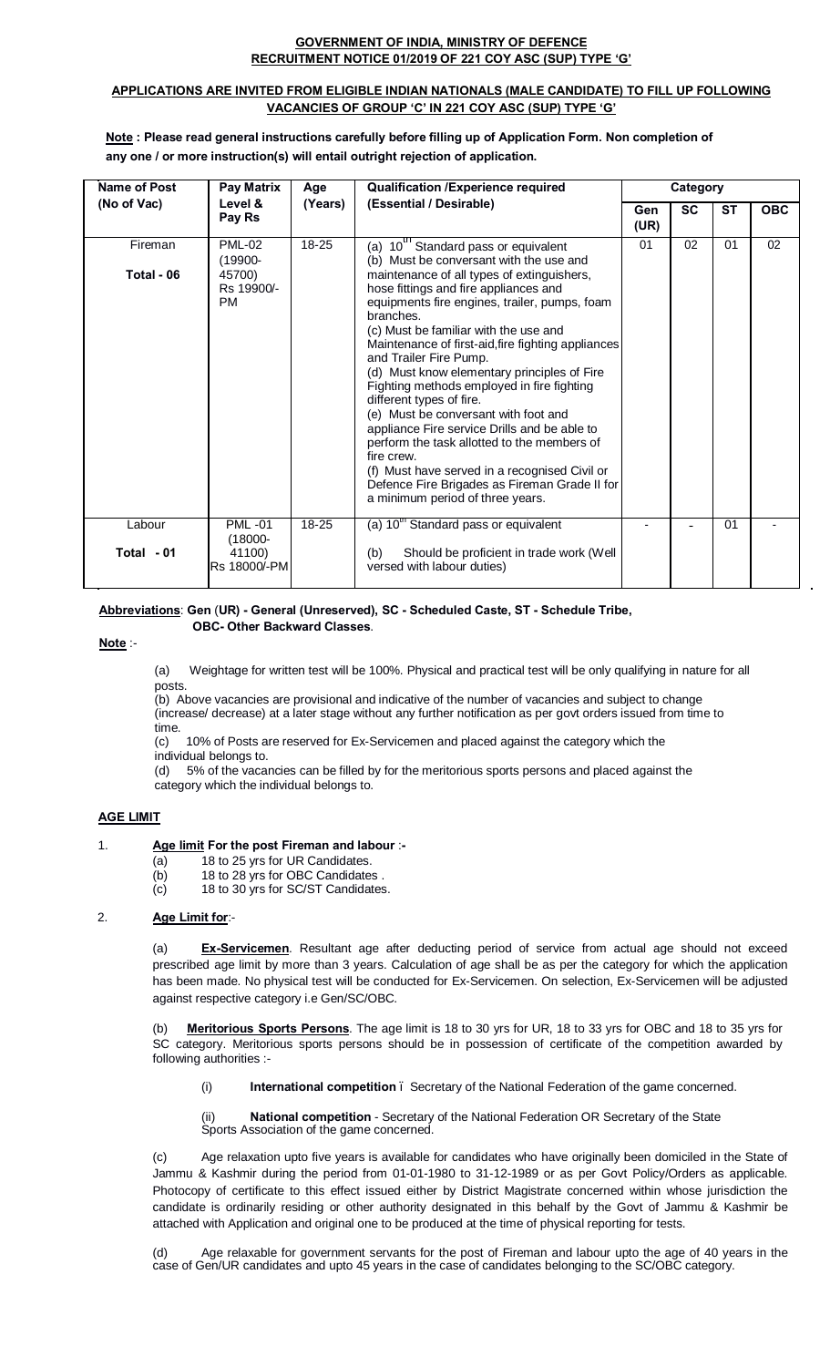### **GOVERNMENT OF INDIA, MINISTRY OF DEFENCE RECRUITMENT NOTICE 01/2019 OF 221 COY ASC (SUP) TYPE 'G'**

### **APPLICATIONS ARE INVITED FROM ELIGIBLE INDIAN NATIONALS (MALE CANDIDATE) TO FILL UP FOLLOWING VACANCIES OF GROUP 'C' IN 221 COY ASC (SUP) TYPE 'G'**

**Note : Please read general instructions carefully before filling up of Application Form. Non completion of any one / or more instruction(s) will entail outright rejection of application.**

| Name of Post | Pay Matrix<br><b>Qualification /Experience required</b><br>Age |         | Category                                                                                                                                                                                                                                                                                                                                                                                                                                                                                                                                                                                                                                                                                       |                    |           |           |            |
|--------------|----------------------------------------------------------------|---------|------------------------------------------------------------------------------------------------------------------------------------------------------------------------------------------------------------------------------------------------------------------------------------------------------------------------------------------------------------------------------------------------------------------------------------------------------------------------------------------------------------------------------------------------------------------------------------------------------------------------------------------------------------------------------------------------|--------------------|-----------|-----------|------------|
| (No of Vac)  | Level &<br>Pay Rs                                              | (Years) | (Essential / Desirable)                                                                                                                                                                                                                                                                                                                                                                                                                                                                                                                                                                                                                                                                        | <b>Gen</b><br>(UR) | <b>SC</b> | <b>ST</b> | <b>OBC</b> |
| Fireman      | <b>PML-02</b><br>$(19900 -$                                    | 18-25   | 10 <sup>th</sup> Standard pass or equivalent<br>(a)<br>(b) Must be conversant with the use and                                                                                                                                                                                                                                                                                                                                                                                                                                                                                                                                                                                                 | 01                 | 02        | 01        | 02         |
| Total - 06   | 45700)<br>Rs 19900/-<br><b>PM</b>                              |         | maintenance of all types of extinguishers,<br>hose fittings and fire appliances and<br>equipments fire engines, trailer, pumps, foam<br>branches.<br>(c) Must be familiar with the use and<br>Maintenance of first-aid, fire fighting appliances<br>and Trailer Fire Pump.<br>(d) Must know elementary principles of Fire<br>Fighting methods employed in fire fighting<br>different types of fire.<br>(e) Must be conversant with foot and<br>appliance Fire service Drills and be able to<br>perform the task allotted to the members of<br>fire crew.<br>(f) Must have served in a recognised Civil or<br>Defence Fire Brigades as Fireman Grade II for<br>a minimum period of three years. |                    |           |           |            |
| Labour       | <b>PML-01</b><br>$(18000 -$                                    | 18-25   | (a) 10 <sup>th</sup> Standard pass or equivalent                                                                                                                                                                                                                                                                                                                                                                                                                                                                                                                                                                                                                                               |                    |           | 01        |            |
| Total - 01   | 41100)<br>Rs 18000/-PM                                         |         | Should be proficient in trade work (Well<br>(b)<br>versed with labour duties)                                                                                                                                                                                                                                                                                                                                                                                                                                                                                                                                                                                                                  |                    |           |           |            |

#### Ī **Abbreviations**: **Gen** (**UR) - General (Unreserved), SC - Scheduled Caste, ST - Schedule Tribe, OBC- Other Backward Classes**.

**Note** :-

(a) Weightage for written test will be 100%. Physical and practical test will be only qualifying in nature for all posts.

(b) Above vacancies are provisional and indicative of the number of vacancies and subject to change (increase/ decrease) at a later stage without any further notification as per govt orders issued from time to time.

(c) 10% of Posts are reserved for Ex-Servicemen and placed against the category which the individual belongs to.

(d) 5% of the vacancies can be filled by for the meritorious sports persons and placed against the category which the individual belongs to.

## **AGE LIMIT**

## 1. **Age limit For the post Fireman and labour** :**-**

- (a) 18 to 25 yrs for UR Candidates.
- (b) 18 to 28 yrs for OBC Candidates .
- (c) 18 to 30 yrs for SC/ST Candidates.

## 2. **Age Limit for**:-

(a) **Ex-Servicemen**. Resultant age after deducting period of service from actual age should not exceed prescribed age limit by more than 3 years. Calculation of age shall be as per the category for which the application has been made. No physical test will be conducted for Ex-Servicemen. On selection, Ex-Servicemen will be adjusted against respective category i.e Gen/SC/OBC.

Meritorious Sports Persons. The age limit is 18 to 30 yrs for UR, 18 to 33 yrs for OBC and 18 to 35 yrs for SC category. Meritorious sports persons should be in possession of certificate of the competition awarded by following authorities :-

(i) **International competition** – Secretary of the National Federation of the game concerned.

National competition - Secretary of the National Federation OR Secretary of the State Sports Association of the game concerned.

(c) Age relaxation upto five years is available for candidates who have originally been domiciled in the State of Jammu & Kashmir during the period from 01-01-1980 to 31-12-1989 or as per Govt Policy/Orders as applicable. Photocopy of certificate to this effect issued either by District Magistrate concerned within whose jurisdiction the candidate is ordinarily residing or other authority designated in this behalf by the Govt of Jammu & Kashmir be attached with Application and original one to be produced at the time of physical reporting for tests.

(d) Age relaxable for government servants for the post of Fireman and labour upto the age of 40 years in the case of Gen/UR candidates and upto 45 years in the case of candidates belonging to the SC/OBC category.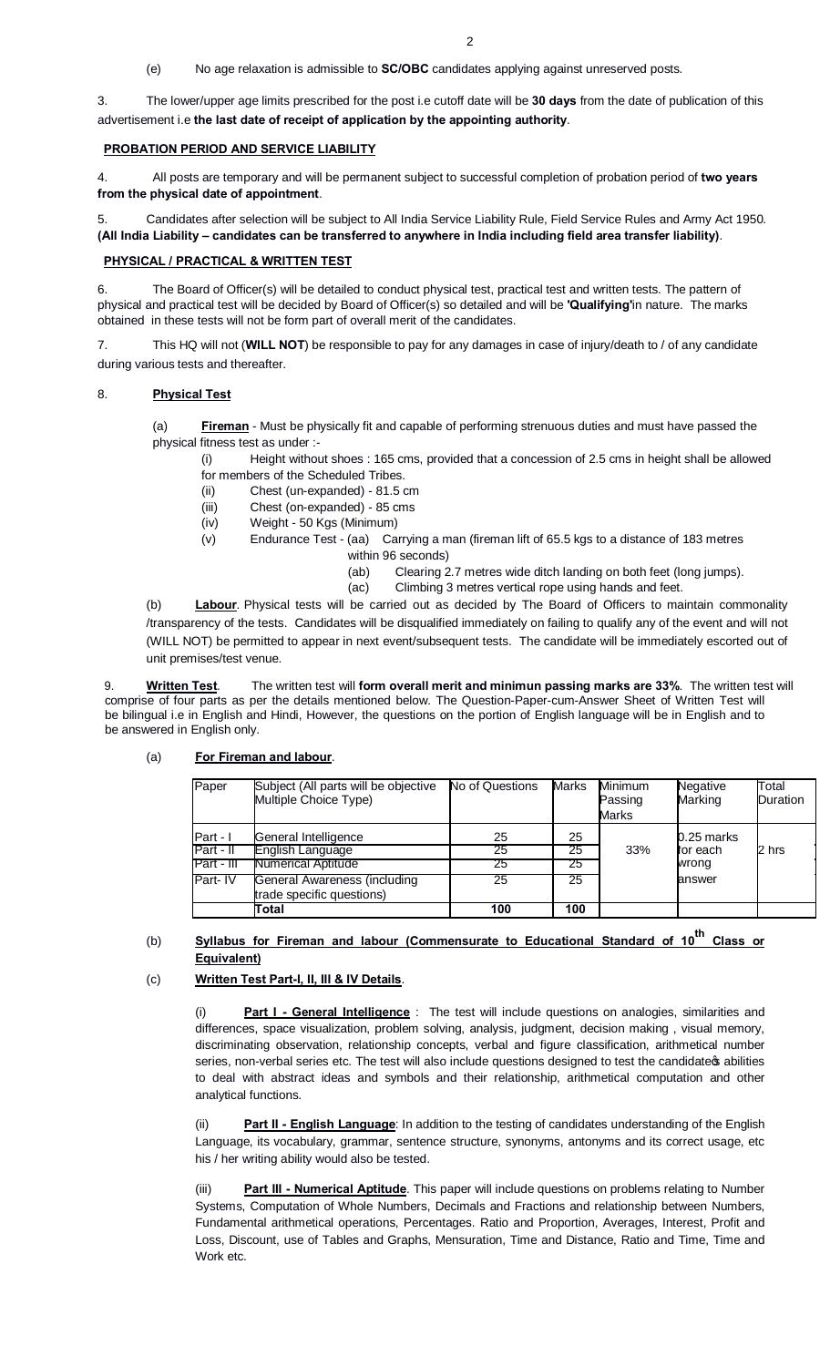(e) No age relaxation is admissible to **SC/OBC** candidates applying against unreserved posts.

3. The lower/upper age limits prescribed for the post i.e cutoff date will be **30 days** from the date of publication of this advertisement i.e **the last date of receipt of application by the appointing authority**.

### **PROBATION PERIOD AND SERVICE LIABILITY**

4. All posts are temporary and will be permanent subject to successful completion of probation period of **two years from the physical date of appointment**.

5. Candidates after selection will be subject to All India Service Liability Rule, Field Service Rules and Army Act 1950. **(All India Liability – candidates can be transferred to anywhere in India including field area transfer liability)**.

### **PHYSICAL / PRACTICAL & WRITTEN TEST**

6. The Board of Officer(s) will be detailed to conduct physical test, practical test and written tests. The pattern of physical and practical test will be decided by Board of Officer(s) so detailed and will be **'Qualifying'**in nature. The marks obtained in these tests will not be form part of overall merit of the candidates.

7. This HQ will not (**WILL NOT**) be responsible to pay for any damages in case of injury/death to / of any candidate during various tests and thereafter.

### 8. **Physical Test**

(a) **Fireman** - Must be physically fit and capable of performing strenuous duties and must have passed the physical fitness test as under :-

- (i) Height without shoes : 165 cms, provided that a concession of 2.5 cms in height shall be allowed for members of the Scheduled Tribes.
	- (ii) Chest (un-expanded) 81.5 cm
	- (iii) Chest (on-expanded) 85 cms
	- (iv) Weight 50 Kgs (Minimum)
	- (v) Endurance Test (aa) Carrying a man (fireman lift of 65.5 kgs to a distance of 183 metres within 96 seconds)
		- (ab) Clearing 2.7 metres wide ditch landing on both feet (long jumps).
		- (ac) Climbing 3 metres vertical rope using hands and feet.

(b) **Labour**. Physical tests will be carried out as decided by The Board of Officers to maintain commonality /transparency of the tests. Candidates will be disqualified immediately on failing to qualify any of the event and will not (WILL NOT) be permitted to appear in next event/subsequent tests. The candidate will be immediately escorted out of unit premises/test venue.

9. **Written Test**. The written test will **form overall merit and minimun passing marks are 33%**. The written test will comprise of four parts as per the details mentioned below. The Question-Paper-cum-Answer Sheet of Written Test will be bilingual i.e in English and Hindi, However, the questions on the portion of English language will be in English and to be answered in English only.

### (a) **For Fireman and labour**.

| Paper                               | Subject (All parts will be objective<br>Multiple Choice Type)  | No of Questions | <b>Marks</b>   | Minimum<br>Passing<br><b>Marks</b> | Negative<br>Marking             | Total<br>Duration |
|-------------------------------------|----------------------------------------------------------------|-----------------|----------------|------------------------------------|---------------------------------|-------------------|
| Part - I<br>Part - II<br>Part - III | General Intelligence<br>English Language<br>Numerical Aptitude | 25<br>25<br>25  | 25<br>25<br>25 | 33%                                | 0.25 marks<br>for each<br>wrong | 2 hrs             |
| Part-IV                             | General Awareness (including<br>trade specific questions)      | 25              | 25             |                                    | answer                          |                   |
|                                     | Total                                                          | 100             | 100            |                                    |                                 |                   |

## (b) Syllabus for Fireman and labour (Commensurate to Educational Standard of 10<sup>th</sup> Class or **Equivalent)**

## (c) **Written Test Part-I, II, III & IV Details**.

(i) **Part I - General Intelligence** : The test will include questions on analogies, similarities and differences, space visualization, problem solving, analysis, judgment, decision making , visual memory, discriminating observation, relationship concepts, verbal and figure classification, arithmetical number series, non-verbal series etc. The test will also include questions designed to test the candidate pabilities to deal with abstract ideas and symbols and their relationship, arithmetical computation and other analytical functions.

**Part II - English Language**: In addition to the testing of candidates understanding of the English Language, its vocabulary, grammar, sentence structure, synonyms, antonyms and its correct usage, etc his / her writing ability would also be tested.

**Part III - Numerical Aptitude**. This paper will include questions on problems relating to Number Systems, Computation of Whole Numbers, Decimals and Fractions and relationship between Numbers, Fundamental arithmetical operations, Percentages. Ratio and Proportion, Averages, Interest, Profit and Loss, Discount, use of Tables and Graphs, Mensuration, Time and Distance, Ratio and Time, Time and Work etc.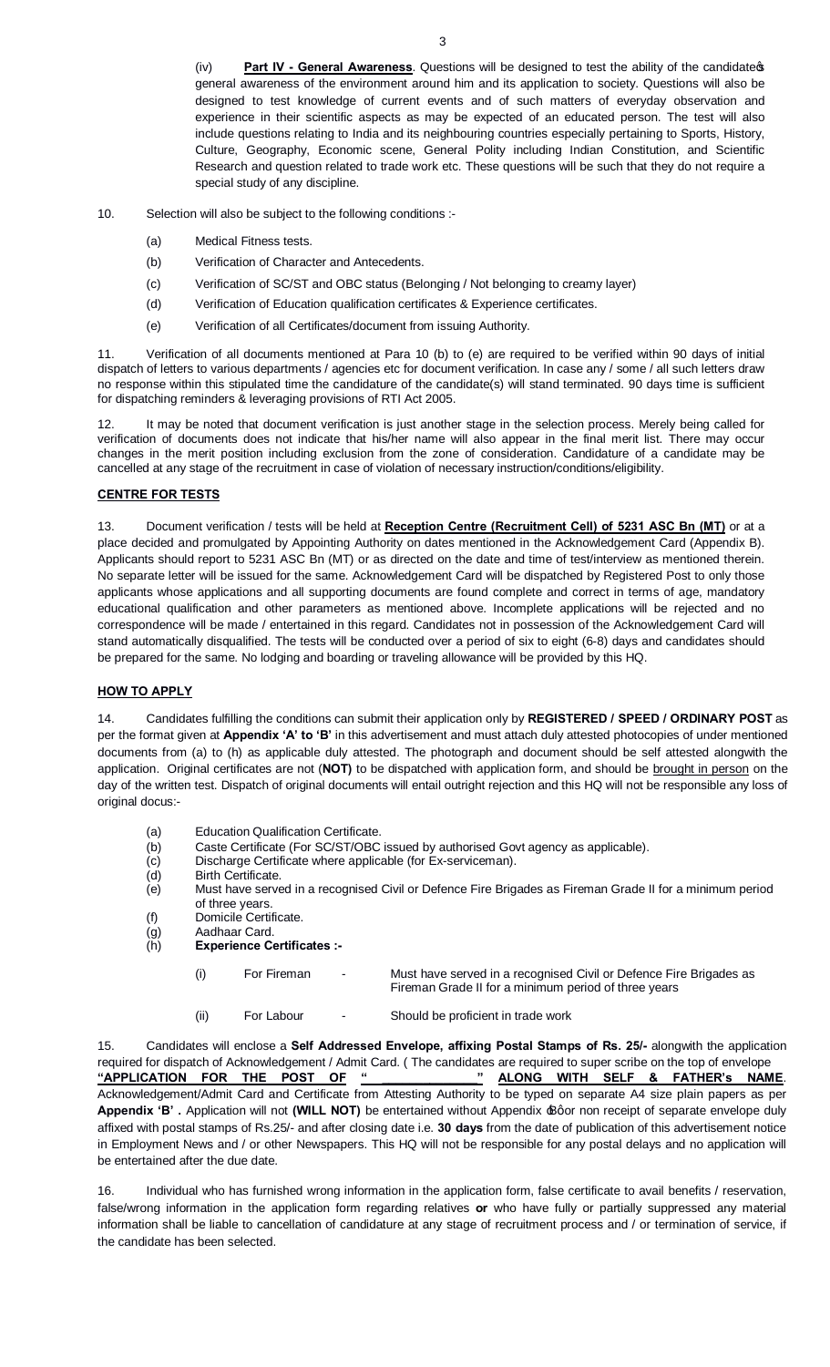designed to test knowledge of current events and of such matters of everyday observation and experience in their scientific aspects as may be expected of an educated person. The test will also include questions relating to India and its neighbouring countries especially pertaining to Sports, History, Culture, Geography, Economic scene, General Polity including Indian Constitution, and Scientific Research and question related to trade work etc. These questions will be such that they do not require a special study of any discipline.

3

- 10. Selection will also be subject to the following conditions :-
	- (a) Medical Fitness tests.
	- (b) Verification of Character and Antecedents.
	- (c) Verification of SC/ST and OBC status (Belonging / Not belonging to creamy layer)
	- (d) Verification of Education qualification certificates & Experience certificates.
	- (e) Verification of all Certificates/document from issuing Authority.

11. Verification of all documents mentioned at Para 10 (b) to (e) are required to be verified within 90 days of initial dispatch of letters to various departments / agencies etc for document verification. In case any / some / all such letters draw no response within this stipulated time the candidature of the candidate(s) will stand terminated. 90 days time is sufficient for dispatching reminders & leveraging provisions of RTI Act 2005.

It may be noted that document verification is just another stage in the selection process. Merely being called for verification of documents does not indicate that his/her name will also appear in the final merit list. There may occur changes in the merit position including exclusion from the zone of consideration. Candidature of a candidate may be cancelled at any stage of the recruitment in case of violation of necessary instruction/conditions/eligibility.

### **CENTRE FOR TESTS**

13. Document verification / tests will be held at **Reception Centre (Recruitment Cell) of 5231 ASC Bn (MT)** or at a place decided and promulgated by Appointing Authority on dates mentioned in the Acknowledgement Card (Appendix B). Applicants should report to 5231 ASC Bn (MT) or as directed on the date and time of test/interview as mentioned therein. No separate letter will be issued for the same. Acknowledgement Card will be dispatched by Registered Post to only those applicants whose applications and all supporting documents are found complete and correct in terms of age, mandatory educational qualification and other parameters as mentioned above. Incomplete applications will be rejected and no correspondence will be made / entertained in this regard. Candidates not in possession of the Acknowledgement Card will stand automatically disqualified. The tests will be conducted over a period of six to eight (6-8) days and candidates should be prepared for the same. No lodging and boarding or traveling allowance will be provided by this HQ.

### **HOW TO APPLY**

14. Candidates fulfilling the conditions can submit their application only by **REGISTERED / SPEED / ORDINARY POST** as per the format given at **Appendix 'A' to 'B'** in this advertisement and must attach duly attested photocopies of under mentioned documents from (a) to (h) as applicable duly attested. The photograph and document should be self attested alongwith the application. Original certificates are not (**NOT)** to be dispatched with application form, and should be brought in person on the day of the written test. Dispatch of original documents will entail outright rejection and this HQ will not be responsible any loss of original docus:-

- (a) Education Qualification Certificate.
- (b) Caste Certificate (For SC/ST/OBC issued by authorised Govt agency as applicable).
- (c) Discharge Certificate where applicable (for Ex-serviceman).<br>(d) Birth Certificate.
- Birth Certificate.
- (e) Must have served in a recognised Civil or Defence Fire Brigades as Fireman Grade II for a minimum period of three years.
- (f) Domicile Certificate.
- (g) Aadhaar Card.
- (h) **Experience Certificates :-** 
	- (i) For Fireman Must have served in a recognised Civil or Defence Fire Brigades as
		-
	- (ii) For Labour Should be proficient in trade work

Fireman Grade II for a minimum period of three years

15. Candidates will enclose a **Self Addressed Envelope, affixing Postal Stamps of Rs. 25/-** alongwith the application required for dispatch of Acknowledgement / Admit Card. ( The candidates are required to super scribe on the top of envelope **"APPLICATION FOR THE POST OF " \_\_\_\_\_\_\_\_\_\_\_\_\_\_" ALONG WITH SELF & FATHER's NAME**. Acknowledgement/Admit Card and Certificate from Attesting Authority to be typed on separate A4 size plain papers as per **Appendix 'B' .** Application will not **(WILL NOT)** be entertained without Appendix 'B' or non receipt of separate envelope duly affixed with postal stamps of Rs.25/- and after closing date i.e. **30 days** from the date of publication of this advertisement notice in Employment News and / or other Newspapers. This HQ will not be responsible for any postal delays and no application will be entertained after the due date.

16. Individual who has furnished wrong information in the application form, false certificate to avail benefits / reservation, false/wrong information in the application form regarding relatives **or** who have fully or partially suppressed any material information shall be liable to cancellation of candidature at any stage of recruitment process and / or termination of service, if the candidate has been selected.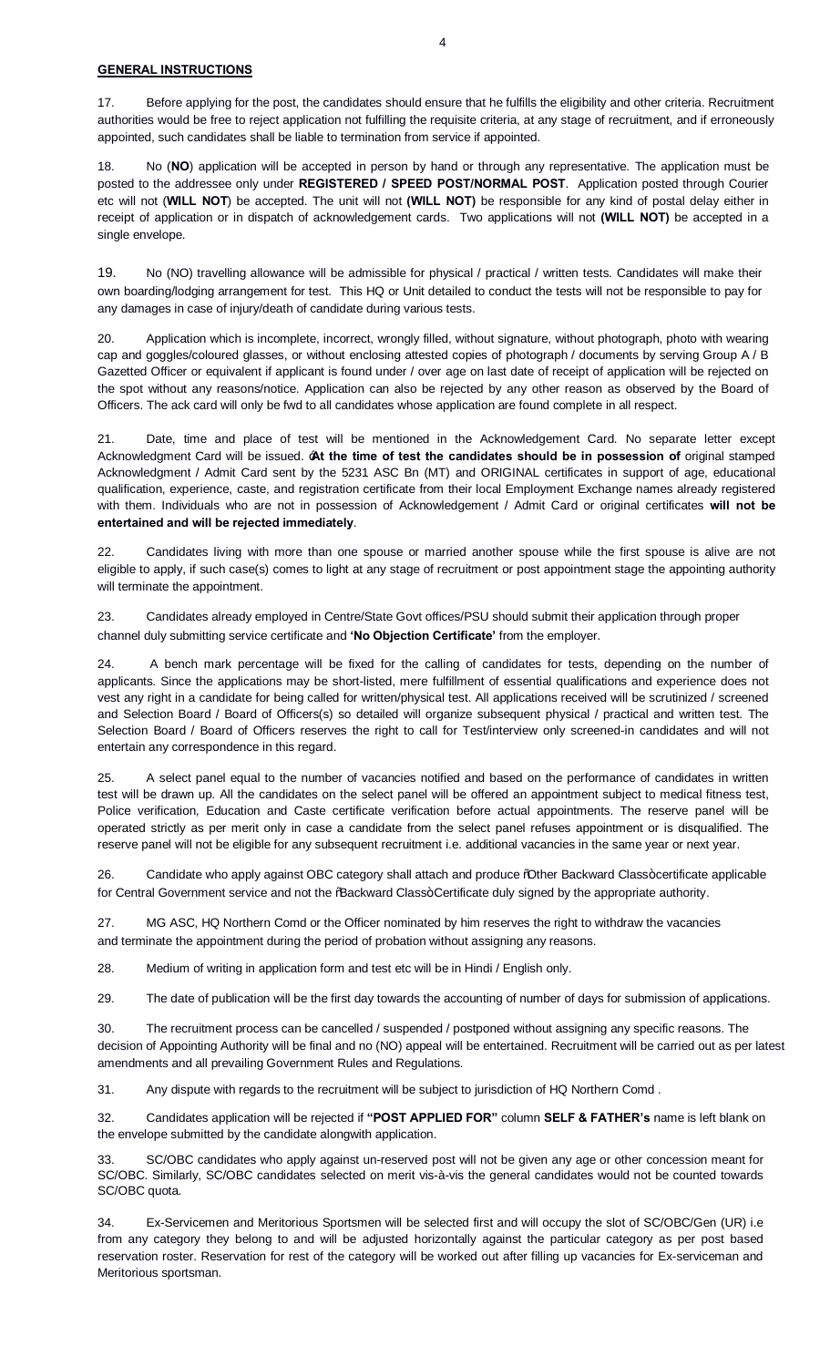### **GENERAL INSTRUCTIONS**

17. Before applying for the post, the candidates should ensure that he fulfills the eligibility and other criteria. Recruitment authorities would be free to reject application not fulfilling the requisite criteria, at any stage of recruitment, and if erroneously appointed, such candidates shall be liable to termination from service if appointed.

18. No (**NO**) application will be accepted in person by hand or through any representative. The application must be posted to the addressee only under **REGISTERED / SPEED POST/NORMAL POST**. Application posted through Courier etc will not (**WILL NOT**) be accepted. The unit will not **(WILL NOT)** be responsible for any kind of postal delay either in receipt of application or in dispatch of acknowledgement cards. Two applications will not **(WILL NOT)** be accepted in a single envelope.

19. No (NO) travelling allowance will be admissible for physical / practical / written tests. Candidates will make their own boarding/lodging arrangement for test. This HQ or Unit detailed to conduct the tests will not be responsible to pay for any damages in case of injury/death of candidate during various tests.

20. Application which is incomplete, incorrect, wrongly filled, without signature, without photograph, photo with wearing cap and goggles/coloured glasses, or without enclosing attested copies of photograph / documents by serving Group A / B Gazetted Officer or equivalent if applicant is found under / over age on last date of receipt of application will be rejected on the spot without any reasons/notice. Application can also be rejected by any other reason as observed by the Board of Officers. The ack card will only be fwd to all candidates whose application are found complete in all respect.

21. Date, time and place of test will be mentioned in the Acknowledgement Card. No separate letter except Acknowledgment Card will be issued. '**At the time of test the candidates should be in possession of** original stamped Acknowledgment / Admit Card sent by the 5231 ASC Bn (MT) and ORIGINAL certificates in support of age, educational qualification, experience, caste, and registration certificate from their local Employment Exchange names already registered with them. Individuals who are not in possession of Acknowledgement / Admit Card or original certificates **will not be entertained and will be rejected immediately**.

22. Candidates living with more than one spouse or married another spouse while the first spouse is alive are not eligible to apply, if such case(s) comes to light at any stage of recruitment or post appointment stage the appointing authority will terminate the appointment.

23. Candidates already employed in Centre/State Govt offices/PSU should submit their application through proper channel duly submitting service certificate and **'No Objection Certificate'** from the employer.

24. A bench mark percentage will be fixed for the calling of candidates for tests, depending on the number of applicants. Since the applications may be short-listed, mere fulfillment of essential qualifications and experience does not vest any right in a candidate for being called for written/physical test. All applications received will be scrutinized / screened and Selection Board / Board of Officers(s) so detailed will organize subsequent physical / practical and written test. The Selection Board / Board of Officers reserves the right to call for Test/interview only screened-in candidates and will not entertain any correspondence in this regard.

25. A select panel equal to the number of vacancies notified and based on the performance of candidates in written test will be drawn up. All the candidates on the select panel will be offered an appointment subject to medical fitness test, Police verification, Education and Caste certificate verification before actual appointments. The reserve panel will be operated strictly as per merit only in case a candidate from the select panel refuses appointment or is disqualified. The reserve panel will not be eligible for any subsequent recruitment i.e. additional vacancies in the same year or next year.

26. Candidate who apply against OBC category shall attach and produce % ther Backward Class+certificate applicable for Central Government service and not the %Backward Class+Certificate duly signed by the appropriate authority.

27. MG ASC, HQ Northern Comd or the Officer nominated by him reserves the right to withdraw the vacancies and terminate the appointment during the period of probation without assigning any reasons.

28. Medium of writing in application form and test etc will be in Hindi / English only.

29. The date of publication will be the first day towards the accounting of number of days for submission of applications.

30. The recruitment process can be cancelled / suspended / postponed without assigning any specific reasons. The decision of Appointing Authority will be final and no (NO) appeal will be entertained. Recruitment will be carried out as per latest amendments and all prevailing Government Rules and Regulations.

31. Any dispute with regards to the recruitment will be subject to jurisdiction of HQ Northern Comd .

32. Candidates application will be rejected if **"POST APPLIED FOR"** column **SELF & FATHER's** name is left blank on the envelope submitted by the candidate alongwith application.

33. SC/OBC candidates who apply against un-reserved post will not be given any age or other concession meant for SC/OBC. Similarly, SC/OBC candidates selected on merit vis-à-vis the general candidates would not be counted towards SC/OBC quota.

34. Ex-Servicemen and Meritorious Sportsmen will be selected first and will occupy the slot of SC/OBC/Gen (UR) i.e from any category they belong to and will be adjusted horizontally against the particular category as per post based reservation roster. Reservation for rest of the category will be worked out after filling up vacancies for Ex-serviceman and Meritorious sportsman.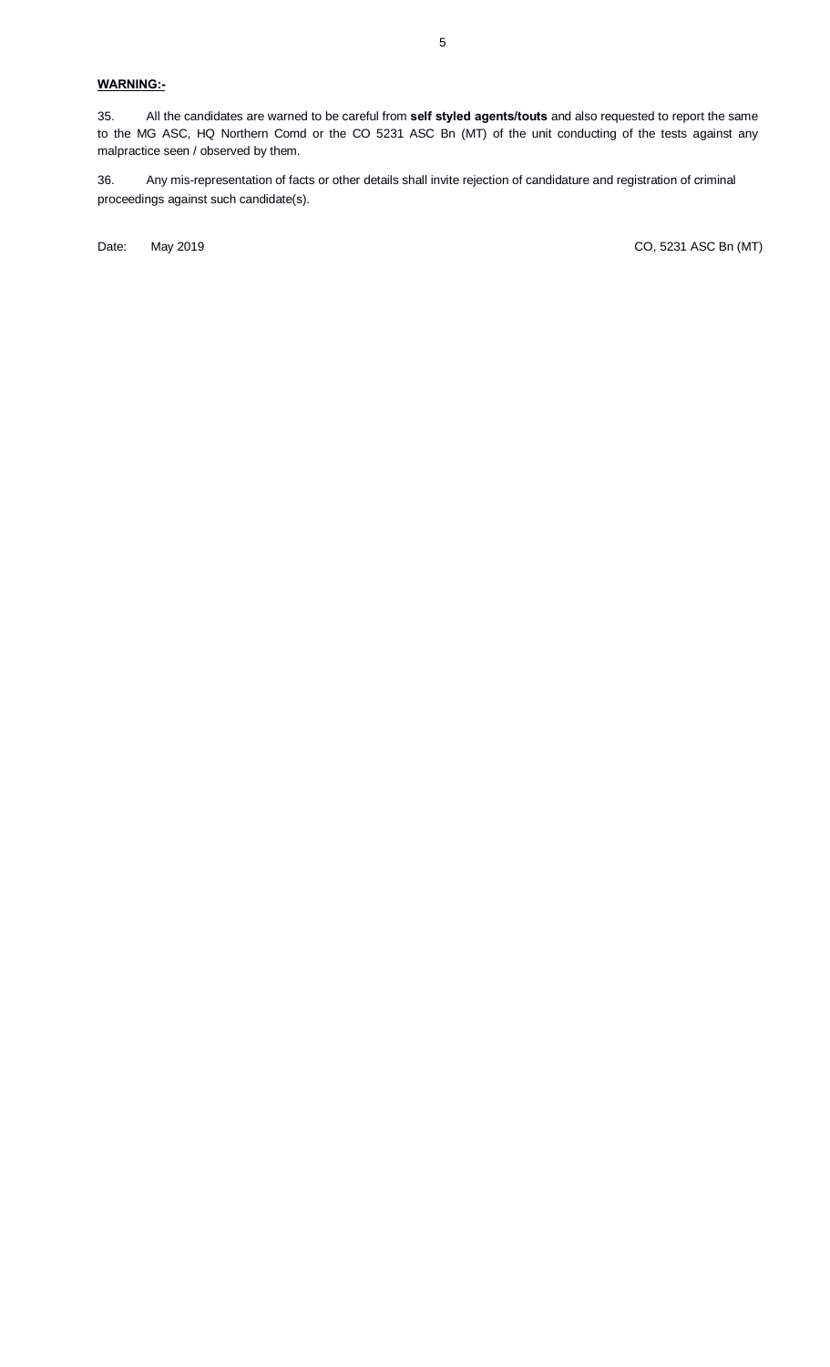# **WARNING:-**

35. All the candidates are warned to be careful from **self styled agents/touts** and also requested to report the same to the MG ASC, HQ Northern Comd or the CO 5231 ASC Bn (MT) of the unit conducting of the tests against any malpractice seen / observed by them.

36. Any mis-representation of facts or other details shall invite rejection of candidature and registration of criminal proceedings against such candidate(s).

Date: May 2019 Maximum 2019 Maximum 2019 Maximum 2010 Maximum 2010 CO, 5231 ASC Bn (MT)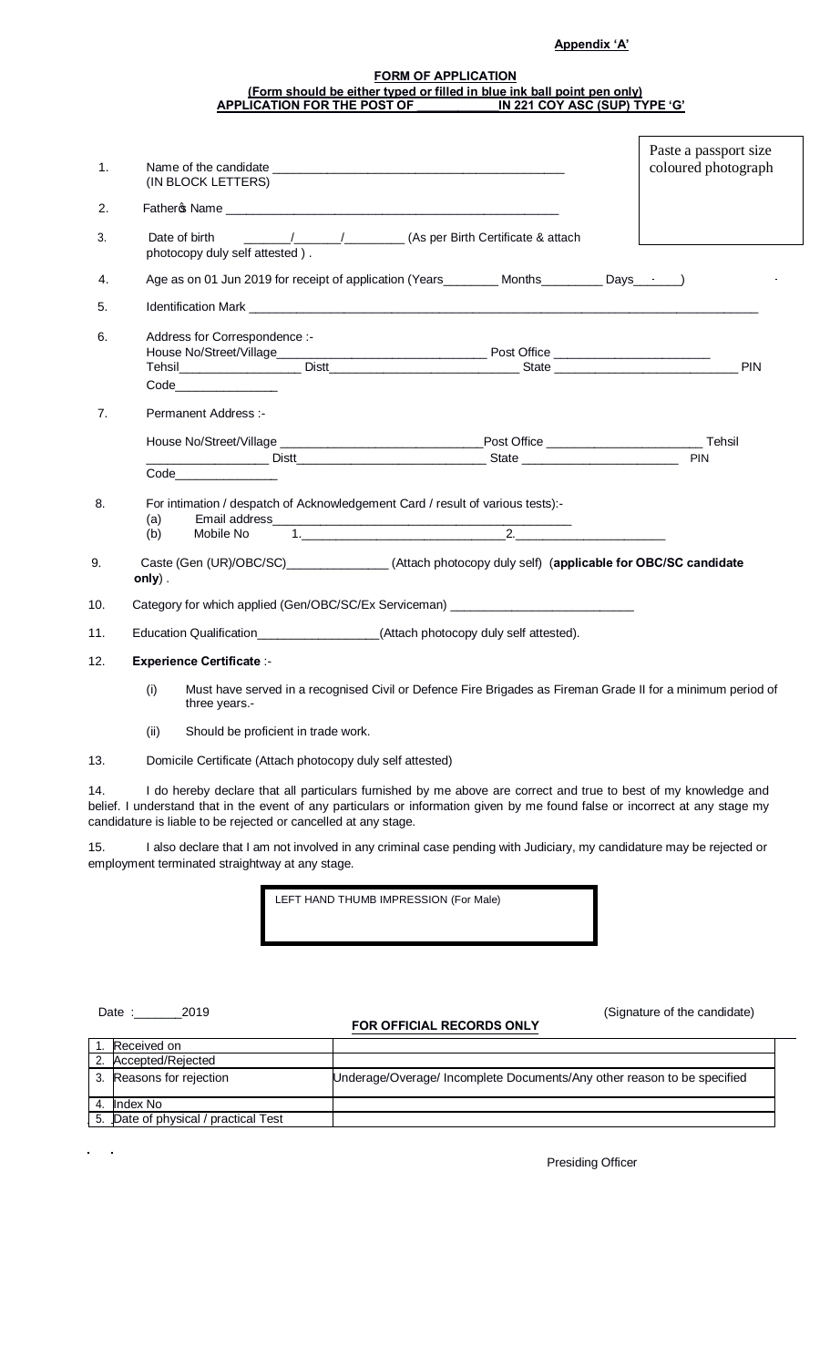## **Appendix 'A'**

#### **FORM OF APPLICATION (Form should be either typed or filled in blue ink ball point pen only) APPLICATION FOR THE POST OF \_\_\_\_\_\_\_\_\_\_\_\_IN 221 COY ASC (SUP) TYPE 'G'**

|          |                                                                                                                                                                                                                                                                                                                     | Paste a passport size |
|----------|---------------------------------------------------------------------------------------------------------------------------------------------------------------------------------------------------------------------------------------------------------------------------------------------------------------------|-----------------------|
| 1.       | (IN BLOCK LETTERS)                                                                                                                                                                                                                                                                                                  | coloured photograph   |
| 2.       |                                                                                                                                                                                                                                                                                                                     |                       |
| 3.       | Date of birth<br>photocopy duly self attested).                                                                                                                                                                                                                                                                     |                       |
| 4.       | Age as on 01 Jun 2019 for receipt of application (Years________ Months________ Days______)                                                                                                                                                                                                                          |                       |
| 5.       |                                                                                                                                                                                                                                                                                                                     |                       |
| 6.       | Address for Correspondence :-                                                                                                                                                                                                                                                                                       |                       |
|          | Code _______________                                                                                                                                                                                                                                                                                                |                       |
| 7.       | Permanent Address :-                                                                                                                                                                                                                                                                                                |                       |
|          |                                                                                                                                                                                                                                                                                                                     |                       |
|          |                                                                                                                                                                                                                                                                                                                     | PIN                   |
| 8.<br>9. | For intimation / despatch of Acknowledgement Card / result of various tests):-<br>(a)<br>Mobile No<br>(b)<br>Caste (Gen (UR)/OBC/SC)________________(Attach photocopy duly self) (applicable for OBC/SC candidate                                                                                                   |                       |
| 10.      | only).<br>Category for which applied (Gen/OBC/SC/Ex Serviceman) __________________________                                                                                                                                                                                                                          |                       |
| 11.      | Education Qualification__________________(Attach photocopy duly self attested).                                                                                                                                                                                                                                     |                       |
| 12.      | <b>Experience Certificate :-</b>                                                                                                                                                                                                                                                                                    |                       |
|          | (i)<br>Must have served in a recognised Civil or Defence Fire Brigades as Fireman Grade II for a minimum period of<br>three years.-                                                                                                                                                                                 |                       |
|          | (ii)<br>Should be proficient in trade work.                                                                                                                                                                                                                                                                         |                       |
| 13.      | Domicile Certificate (Attach photocopy duly self attested)                                                                                                                                                                                                                                                          |                       |
| 14.      | I do hereby declare that all particulars furnished by me above are correct and true to best of my knowledge and<br>belief. I understand that in the event of any particulars or information given by me found false or incorrect at any stage my<br>candidature is liable to be rejected or cancelled at any stage. |                       |
| 15.      | I also declare that I am not involved in any criminal case pending with Judiciary, my candidature may be rejected or<br>employment terminated straightway at any stage.                                                                                                                                             |                       |
|          | LEFT HAND THUMB IMPRESSION (For Male)                                                                                                                                                                                                                                                                               |                       |

 $\ddot{\phantom{a}}$ 

## **FOR OFFICIAL RECORDS ONLY**

Date :\_\_\_\_\_\_\_\_\_\_\_\_\_2019 (Signature of the candidate)

| Received on                          |                                                                         |
|--------------------------------------|-------------------------------------------------------------------------|
| 2. Accepted/Rejected                 |                                                                         |
| 3. Reasons for rejection             | Underage/Overage/ Incomplete Documents/Any other reason to be specified |
| Index No                             |                                                                         |
| 5. Date of physical / practical Test |                                                                         |

Presiding Officer